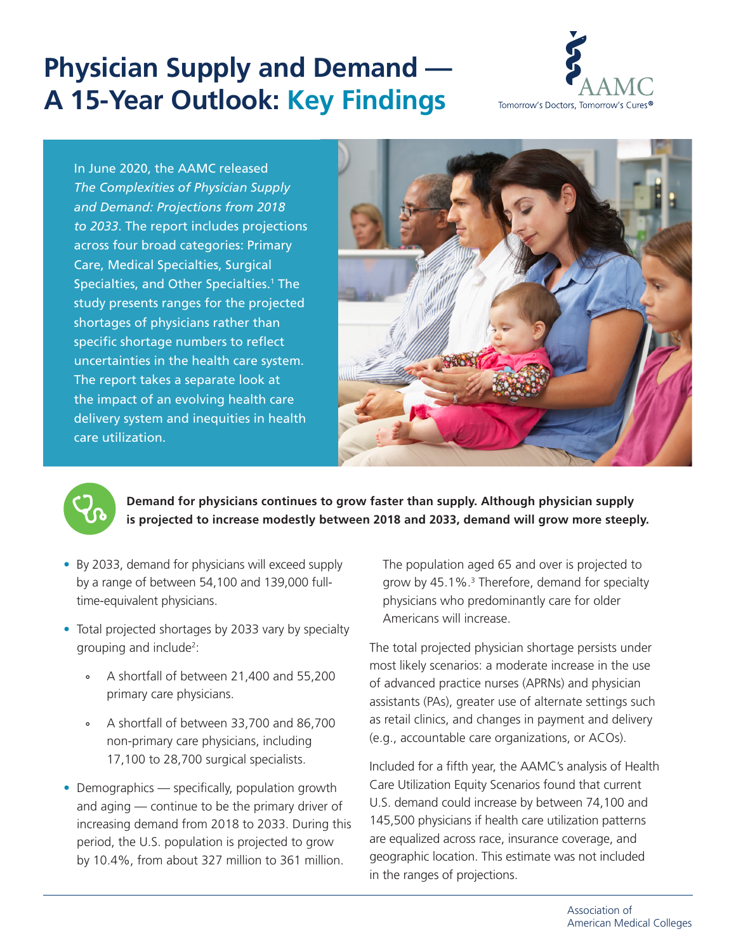# **Physician Supply and Demand — A 15-Year Outlook: Key Findings**



In June 2020, the AAMC released *The Complexities of Physician Supply and Demand: Projections from 2018 to 2033*. The report includes projections across four broad categories: Primary Care, Medical Specialties, Surgical Specialties, and Other Specialties.<sup>1</sup> The study presents ranges for the projected shortages of physicians rather than specific shortage numbers to reflect uncertainties in the health care system. The report takes a separate look at the impact of an evolving health care delivery system and inequities in health care utilization.





**Demand for physicians continues to grow faster than supply. Although physician supply is projected to increase modestly between 2018 and 2033, demand will grow more steeply.**

- By 2033, demand for physicians will exceed supply by a range of between 54,100 and 139,000 fulltime-equivalent physicians.
- Total projected shortages by 2033 vary by specialty grouping and include<sup>2</sup>:
	- ° A shortfall of between 21,400 and 55,200 primary care physicians.
	- ° A shortfall of between 33,700 and 86,700 non-primary care physicians, including 17,100 to 28,700 surgical specialists.
- Demographics specifically, population growth and aging — continue to be the primary driver of increasing demand from 2018 to 2033. During this period, the U.S. population is projected to grow by 10.4%, from about 327 million to 361 million.

The population aged 65 and over is projected to grow by 45.1%.<sup>3</sup> Therefore, demand for specialty physicians who predominantly care for older Americans will increase.

The total projected physician shortage persists under most likely scenarios: a moderate increase in the use of advanced practice nurses (APRNs) and physician assistants (PAs), greater use of alternate settings such as retail clinics, and changes in payment and delivery (e.g., accountable care organizations, or ACOs).

Included for a fifth year, the AAMC's analysis of Health Care Utilization Equity Scenarios found that current U.S. demand could increase by between 74,100 and 145,500 physicians if health care utilization patterns are equalized across race, insurance coverage, and geographic location. This estimate was not included in the ranges of projections.